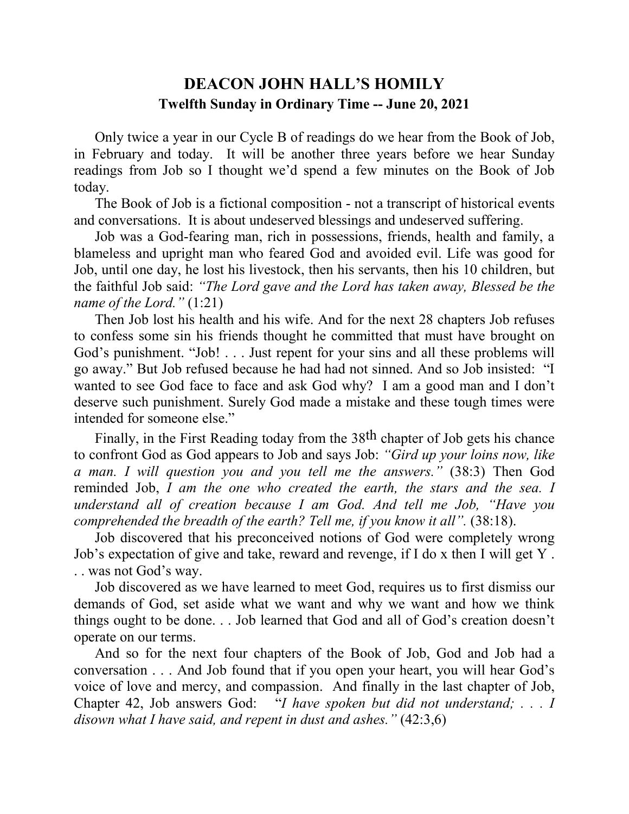## **DEACON JOHN HALL'S HOMILY Twelfth Sunday in Ordinary Time -- June 20, 2021**

 Only twice a year in our Cycle B of readings do we hear from the Book of Job, in February and today. It will be another three years before we hear Sunday readings from Job so I thought we'd spend a few minutes on the Book of Job today.

 The Book of Job is a fictional composition - not a transcript of historical events and conversations. It is about undeserved blessings and undeserved suffering.

 Job was a God-fearing man, rich in possessions, friends, health and family, a blameless and upright man who feared God and avoided evil. Life was good for Job, until one day, he lost his livestock, then his servants, then his 10 children, but the faithful Job said: *"The Lord gave and the Lord has taken away, Blessed be the name of the Lord."* (1:21)

 Then Job lost his health and his wife. And for the next 28 chapters Job refuses to confess some sin his friends thought he committed that must have brought on God's punishment. "Job! . . . Just repent for your sins and all these problems will go away." But Job refused because he had had not sinned. And so Job insisted: "I wanted to see God face to face and ask God why? I am a good man and I don't deserve such punishment. Surely God made a mistake and these tough times were intended for someone else."

 Finally, in the First Reading today from the 38th chapter of Job gets his chance to confront God as God appears to Job and says Job: *"Gird up your loins now, like a man. I will question you and you tell me the answers."* (38:3) Then God reminded Job, *I am the one who created the earth, the stars and the sea. I understand all of creation because I am God. And tell me Job, "Have you comprehended the breadth of the earth? Tell me, if you know it all".* (38:18).

 Job discovered that his preconceived notions of God were completely wrong Job's expectation of give and take, reward and revenge, if I do x then I will get Y . . . was not God's way.

 Job discovered as we have learned to meet God, requires us to first dismiss our demands of God, set aside what we want and why we want and how we think things ought to be done. . . Job learned that God and all of God's creation doesn't operate on our terms.

 And so for the next four chapters of the Book of Job, God and Job had a conversation . . . And Job found that if you open your heart, you will hear God's voice of love and mercy, and compassion. And finally in the last chapter of Job, Chapter 42, Job answers God: "*I have spoken but did not understand; . . . I disown what I have said, and repent in dust and ashes."* (42:3,6)